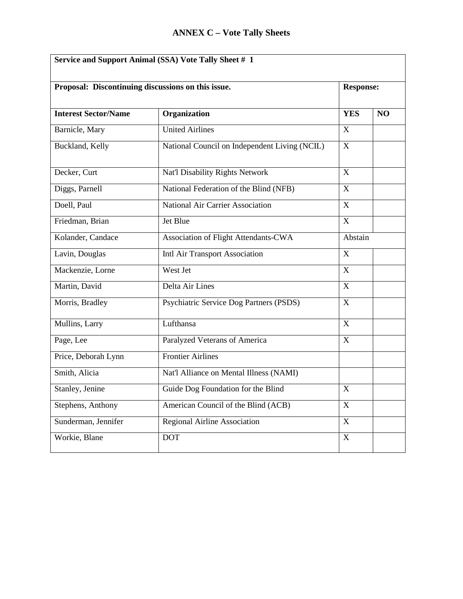| Service and Support Animal (SSA) Vote Tally Sheet # 1 |                                               |                           |                |  |  |
|-------------------------------------------------------|-----------------------------------------------|---------------------------|----------------|--|--|
| Proposal: Discontinuing discussions on this issue.    |                                               | <b>Response:</b>          |                |  |  |
| <b>Interest Sector/Name</b>                           | Organization                                  | <b>YES</b>                | N <sub>O</sub> |  |  |
| Barnicle, Mary                                        | <b>United Airlines</b>                        | X                         |                |  |  |
| Buckland, Kelly                                       | National Council on Independent Living (NCIL) | X                         |                |  |  |
| Decker, Curt                                          | Nat'l Disability Rights Network               | X                         |                |  |  |
| Diggs, Parnell                                        | National Federation of the Blind (NFB)        | X                         |                |  |  |
| Doell, Paul                                           | National Air Carrier Association              | X                         |                |  |  |
| Friedman, Brian                                       | Jet Blue                                      | X                         |                |  |  |
| Kolander, Candace                                     | Association of Flight Attendants-CWA          | Abstain<br>X              |                |  |  |
| Lavin, Douglas                                        | Intl Air Transport Association                |                           |                |  |  |
| Mackenzie, Lorne                                      | West Jet                                      | X                         |                |  |  |
| Martin, David                                         | Delta Air Lines                               | X                         |                |  |  |
| Morris, Bradley                                       | Psychiatric Service Dog Partners (PSDS)       | $\mathbf X$               |                |  |  |
| Mullins, Larry                                        | Lufthansa                                     | X                         |                |  |  |
| Page, Lee                                             | Paralyzed Veterans of America                 | $\mathbf X$               |                |  |  |
| Price, Deborah Lynn                                   | <b>Frontier Airlines</b>                      |                           |                |  |  |
| Smith, Alicia                                         | Nat'l Alliance on Mental Illness (NAMI)       |                           |                |  |  |
| Stanley, Jenine                                       | Guide Dog Foundation for the Blind            | $\mathbf X$               |                |  |  |
| Stephens, Anthony                                     | American Council of the Blind (ACB)           | X                         |                |  |  |
| Sunderman, Jennifer                                   | Regional Airline Association                  | $\mathbf X$               |                |  |  |
| Workie, Blane                                         | <b>DOT</b>                                    | $\boldsymbol{\mathrm{X}}$ |                |  |  |